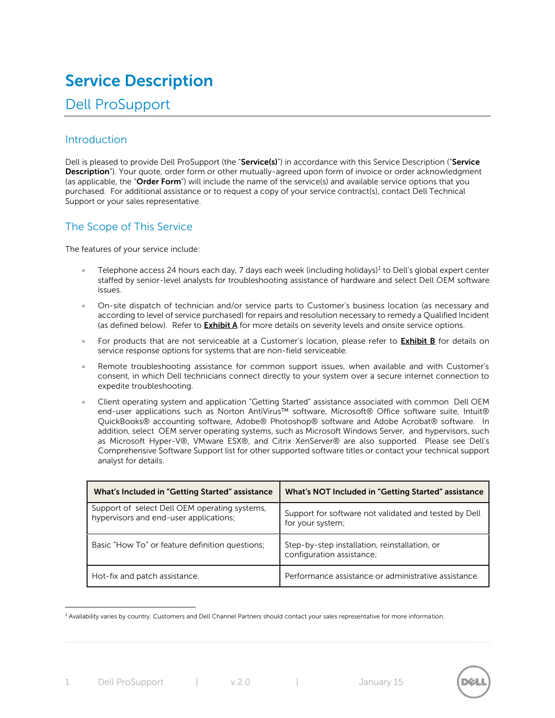# **Service Description**

# Dell ProSupport

# Introduction

Dell is pleased to provide Dell ProSupport (the "**Service(s)**") in accordance with this Service Description ("**Service Description**"). Your quote, order form or other mutually-agreed upon form of invoice or order acknowledgment (as applicable, the "**Order Form**") will include the name of the service(s) and available service options that you purchased. For additional assistance or to request a copy of your service contract(s), contact Dell Technical Support or your sales representative.

# The Scope of This Service

The features of your service include:

- **Telephone access 24 hours each day, 7 days each week (including holidays)<sup>1</sup> to Dell's global expert center** staffed by senior-level analysts for troubleshooting assistance of hardware and select Dell OEM software issues.
- On-site dispatch of technician and/or service parts to Customer's business location (as necessary and according to level of service purchased) for repairs and resolution necessary to remedy a Qualified Incident (as defined below). Refer to **Exhibit A** for more details on severity levels and onsite service options.
- For products that are not serviceable at a Customer's location, please refer to **Exhibit B** for details on service response options for systems that are non-field serviceable.
- Remote troubleshooting assistance for common support issues, when available and with Customer's consent, in which Dell technicians connect directly to your system over a secure internet connection to expedite troubleshooting.
- Client operating system and application "Getting Started" assistance associated with common Dell OEM end-user applications such as Norton AntiVirus™ software, Microsoft® Office software suite, Intuit® QuickBooks® accounting software, Adobe® Photoshop® software and Adobe Acrobat® software. In addition, select OEM server operating systems, such as Microsoft Windows Server, and hypervisors, such as Microsoft Hyper-V®, VMware ESX®, and Citrix XenServer® are also supported. Please see Dell's Comprehensive Software Support list for other supported software titles or contact your technical support analyst for details.

| What's Included in "Getting Started" assistance                                         | What's NOT Included in "Getting Started" assistance                        |
|-----------------------------------------------------------------------------------------|----------------------------------------------------------------------------|
| Support of select Dell OEM operating systems,<br>hypervisors and end-user applications; | Support for software not validated and tested by Dell<br>for your system;  |
| Basic "How To" or feature definition questions;                                         | Step-by-step installation, reinstallation, or<br>configuration assistance; |
| Hot-fix and patch assistance.                                                           | Performance assistance or administrative assistance.                       |

<sup>1</sup> Availability varies by country. Customers and Dell Channel Partners should contact your sales representative for more information.

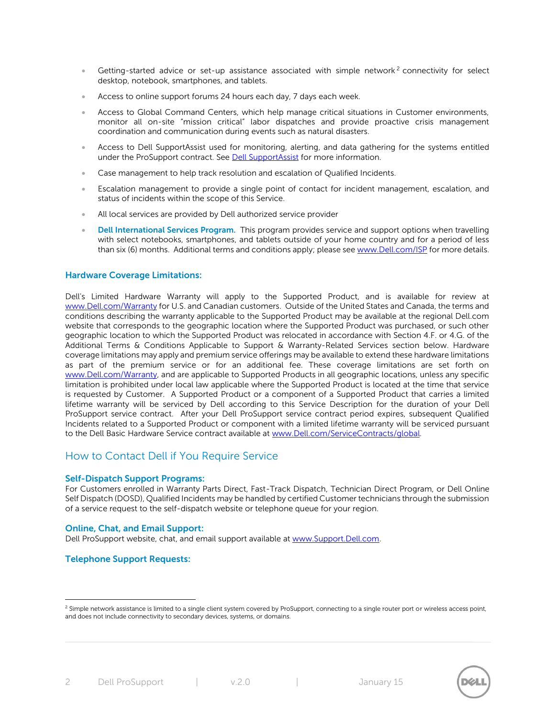- Getting-started advice or set-up assistance associated with simple network<sup>2</sup> connectivity for select desktop, notebook, smartphones, and tablets.
- Access to online support forums 24 hours each day, 7 days each week.
- Access to Global Command Centers, which help manage critical situations in Customer environments, monitor all on-site "mission critical" labor dispatches and provide proactive crisis management coordination and communication during events such as natural disasters.
- Access to Dell SupportAssist used for monitoring, alerting, and data gathering for the systems entitled under the ProSupport contract. See Dell SupportAssist for more information.
- Case management to help track resolution and escalation of Qualified Incidents.
- Escalation management to provide a single point of contact for incident management, escalation, and status of incidents within the scope of this Service.
- All local services are provided by Dell authorized service provider
- **Dell International Services Program.** This program provides service and support options when travelling with select notebooks, smartphones, and tablets outside of your home country and for a period of less than six (6) months. Additional terms and conditions apply; please se[e www.Dell.com/ISP](http://www.dell.com/ISP) for more details.

#### **Hardware Coverage Limitations:**

Dell's Limited Hardware Warranty will apply to the Supported Product, and is available for review at [www.Dell.com/Warranty](http://www.dell.com/Warranty) for U.S. and Canadian customers. Outside of the United States and Canada, the terms and conditions describing the warranty applicable to the Supported Product may be available at the regional Dell.com website that corresponds to the geographic location where the Supported Product was purchased, or such other geographic location to which the Supported Product was relocated in accordance with Section 4.F. or 4.G. of the Additional Terms & Conditions Applicable to Support & Warranty-Related Services section below. Hardware coverage limitations may apply and premium service offerings may be available to extend these hardware limitations as part of the premium service or for an additional fee. These coverage limitations are set forth on [www.Dell.com/Warranty,](http://www.dell.com/Warranty) and are applicable to Supported Products in all geographic locations, unless any specific limitation is prohibited under local law applicable where the Supported Product is located at the time that service is requested by Customer. A Supported Product or a component of a Supported Product that carries a limited lifetime warranty will be serviced by Dell according to this Service Description for the duration of your Dell ProSupport service contract. After your Dell ProSupport service contract period expires, subsequent Qualified Incidents related to a Supported Product or component with a limited lifetime warranty will be serviced pursuant to the Dell Basic Hardware Service contract available at [www.Dell.com/ServiceContracts/global.](http://www.dell.com/ServiceContracts/global)

# How to Contact Dell if You Require Service

#### **Self-Dispatch Support Programs:**

For Customers enrolled in Warranty Parts Direct, Fast-Track Dispatch, Technician Direct Program, or Dell Online Self Dispatch (DOSD), Qualified Incidents may be handled by certified Customer technicians through the submission of a service request to the self-dispatch website or telephone queue for your region.

#### **Online, Chat, and Email Support:**

Dell ProSupport website, chat, and email support available at [www.Support.Dell.com.](http://www.support.dell.com/)

#### **Telephone Support Requests:**



<sup>&</sup>lt;sup>2</sup> Simple network assistance is limited to a single client system covered by ProSupport, connecting to a single router port or wireless access point, and does not include connectivity to secondary devices, systems, or domains.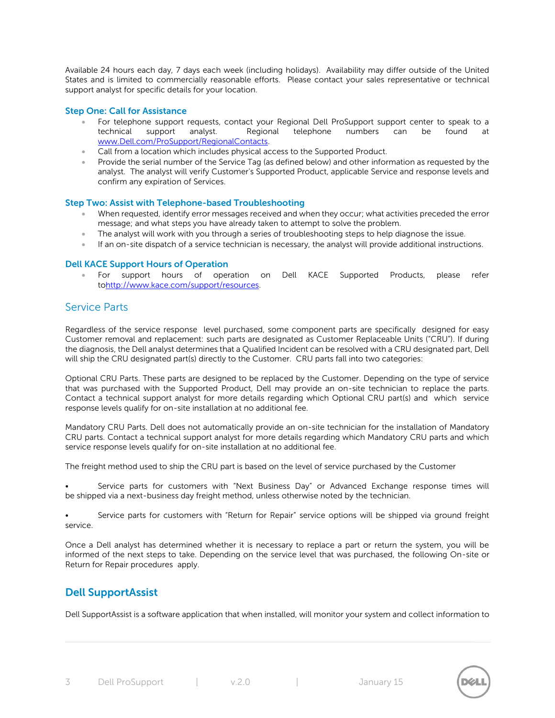Available 24 hours each day, 7 days each week (including holidays). Availability may differ outside of the United States and is limited to commercially reasonable efforts. Please contact your sales representative or technical support analyst for specific details for your location.

## **Step One: Call for Assistance**

- For telephone support requests, contact your Regional Dell ProSupport support center to speak to a technical support analyst. Regional telephone numbers can be found at [www.Dell.com/ProSupport/RegionalContacts.](http://www.dell.com/ProSupport/RegionalContacts)
- Call from a location which includes physical access to the Supported Product.
- Provide the serial number of the Service Tag (as defined below) and other information as requested by the analyst. The analyst will verify Customer's Supported Product, applicable Service and response levels and confirm any expiration of Services.

#### **Step Two: Assist with Telephone-based Troubleshooting**

- When requested, identify error messages received and when they occur; what activities preceded the error message; and what steps you have already taken to attempt to solve the problem.
- The analyst will work with you through a series of troubleshooting steps to help diagnose the issue.
- If an on-site dispatch of a service technician is necessary, the analyst will provide additional instructions.

#### **Dell KACE Support Hours of Operation**

 For support hours of operation on Dell KACE Supported Products, please refer t[ohttp://www.kace.com/support/resources.](http://www.kace.com/support/resources)

## Service Parts

Regardless of the service response level purchased, some component parts are specifically designed for easy Customer removal and replacement: such parts are designated as Customer Replaceable Units ("CRU"). If during the diagnosis, the Dell analyst determines that a Qualified Incident can be resolved with a CRU designated part, Dell will ship the CRU designated part(s) directly to the Customer. CRU parts fall into two categories:

Optional CRU Parts. These parts are designed to be replaced by the Customer. Depending on the type of service that was purchased with the Supported Product, Dell may provide an on-site technician to replace the parts. Contact a technical support analyst for more details regarding which Optional CRU part(s) and which service response levels qualify for on-site installation at no additional fee.

Mandatory CRU Parts. Dell does not automatically provide an on-site technician for the installation of Mandatory CRU parts. Contact a technical support analyst for more details regarding which Mandatory CRU parts and which service response levels qualify for on-site installation at no additional fee.

The freight method used to ship the CRU part is based on the level of service purchased by the Customer

Service parts for customers with "Next Business Day" or Advanced Exchange response times will be shipped via a next-business day freight method, unless otherwise noted by the technician.

Service parts for customers with "Return for Repair" service options will be shipped via ground freight service.

Once a Dell analyst has determined whether it is necessary to replace a part or return the system, you will be informed of the next steps to take. Depending on the service level that was purchased, the following On-site or Return for Repair procedures apply.

# **Dell SupportAssist**

Dell SupportAssist is a software application that when installed, will monitor your system and collect information to

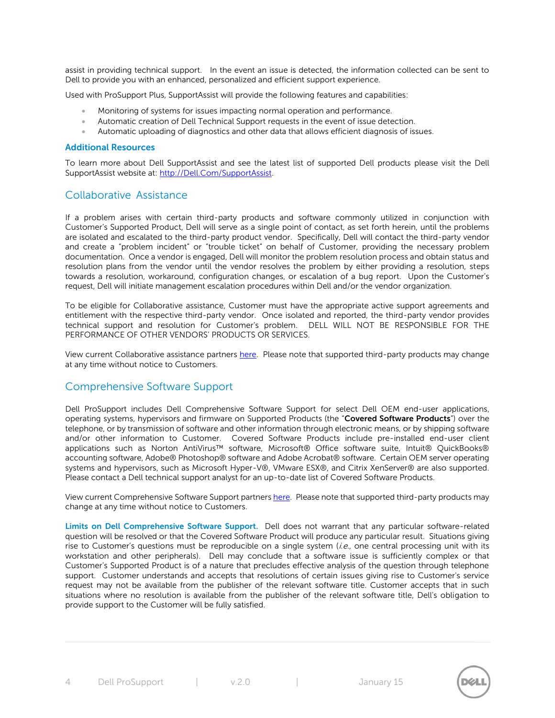assist in providing technical support. In the event an issue is detected, the information collected can be sent to Dell to provide you with an enhanced, personalized and efficient support experience.

Used with ProSupport Plus, SupportAssist will provide the following features and capabilities:

- Monitoring of systems for issues impacting normal operation and performance.
- Automatic creation of Dell Technical Support requests in the event of issue detection.
- Automatic uploading of diagnostics and other data that allows efficient diagnosis of issues.

#### **Additional Resources**

To learn more about Dell SupportAssist and see the latest list of supported Dell products please visit the Dell SupportAssist website at: [http://Dell.Com/SupportAssist.](http://dell.com/SupportAssist)

## Collaborative Assistance

If a problem arises with certain third-party products and software commonly utilized in conjunction with Customer's Supported Product, Dell will serve as a single point of contact, as set forth herein, until the problems are isolated and escalated to the third-party product vendor. Specifically, Dell will contact the third-party vendor and create a "problem incident" or "trouble ticket" on behalf of Customer, providing the necessary problem documentation. Once a vendor is engaged, Dell will monitor the problem resolution process and obtain status and resolution plans from the vendor until the vendor resolves the problem by either providing a resolution, steps towards a resolution, workaround, configuration changes, or escalation of a bug report. Upon the Customer's request, Dell will initiate management escalation procedures within Dell and/or the vendor organization.

To be eligible for Collaborative assistance, Customer must have the appropriate active support agreements and entitlement with the respective third-party vendor. Once isolated and reported, the third-party vendor provides technical support and resolution for Customer's problem. DELL WILL NOT BE RESPONSIBLE FOR THE PERFORMANCE OF OTHER VENDORS' PRODUCTS OR SERVICES.

View current Collaborative assistance partners [here.](http://i.dell.com/sites/doccontent/shared-content/services/en/Documents/ProSupport-Collaborative-Software-Assistance-List-Enterprise-and-End-User.pdf) Please note that supported third-party products may change at any time without notice to Customers.

## Comprehensive Software Support

Dell ProSupport includes Dell Comprehensive Software Support for select Dell OEM end-user applications, operating systems, hypervisors and firmware on Supported Products (the "**Covered Software Products**") over the telephone, or by transmission of software and other information through electronic means, or by shipping software and/or other information to Customer. Covered Software Products include pre-installed end-user client applications such as Norton AntiVirus™ software, Microsoft® Office software suite, Intuit® QuickBooks® accounting software, Adobe® Photoshop® software and Adobe Acrobat® software. Certain OEM server operating systems and hypervisors, such as Microsoft Hyper-V®, VMware ESX®, and Citrix XenServer® are also supported. Please contact a Dell technical support analyst for an up-to-date list of Covered Software Products.

View current Comprehensive Software Support partners [here.](http://i.dell.com/sites/doccontent/shared-content/services/en/Documents/ProSupport-Comprehensive-Software-Support-List-Enterprise-and-End-User.pdf) Please note that supported third-party products may change at any time without notice to Customers.

**Limits on Dell Comprehensive Software Support.** Dell does not warrant that any particular software-related question will be resolved or that the Covered Software Product will produce any particular result. Situations giving rise to Customer's questions must be reproducible on a single system (*i.e.*, one central processing unit with its workstation and other peripherals). Dell may conclude that a software issue is sufficiently complex or that Customer's Supported Product is of a nature that precludes effective analysis of the question through telephone support. Customer understands and accepts that resolutions of certain issues giving rise to Customer's service request may not be available from the publisher of the relevant software title. Customer accepts that in such situations where no resolution is available from the publisher of the relevant software title, Dell's obligation to provide support to the Customer will be fully satisfied.

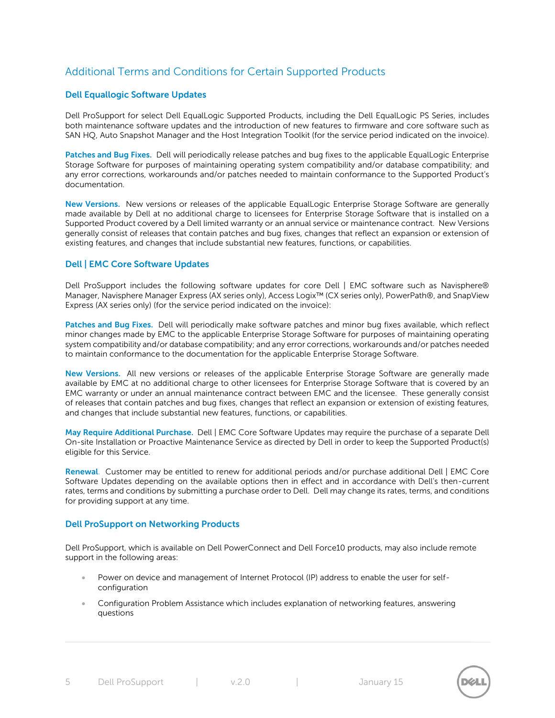# Additional Terms and Conditions for Certain Supported Products

## **Dell Equallogic Software Updates**

Dell ProSupport for select Dell EqualLogic Supported Products, including the Dell EqualLogic PS Series, includes both maintenance software updates and the introduction of new features to firmware and core software such as SAN HQ, Auto Snapshot Manager and the Host Integration Toolkit (for the service period indicated on the invoice).

**Patches and Bug Fixes.** Dell will periodically release patches and bug fixes to the applicable EqualLogic Enterprise Storage Software for purposes of maintaining operating system compatibility and/or database compatibility; and any error corrections, workarounds and/or patches needed to maintain conformance to the Supported Product's documentation.

**New Versions.** New versions or releases of the applicable EqualLogic Enterprise Storage Software are generally made available by Dell at no additional charge to licensees for Enterprise Storage Software that is installed on a Supported Product covered by a Dell limited warranty or an annual service or maintenance contract. New Versions generally consist of releases that contain patches and bug fixes, changes that reflect an expansion or extension of existing features, and changes that include substantial new features, functions, or capabilities.

## **Dell | EMC Core Software Updates**

Dell ProSupport includes the following software updates for core Dell | EMC software such as Navisphere® Manager, Navisphere Manager Express (AX series only), Access Logix™ (CX series only), PowerPath®, and SnapView Express (AX series only) (for the service period indicated on the invoice):

**Patches and Bug Fixes.** Dell will periodically make software patches and minor bug fixes available, which reflect minor changes made by EMC to the applicable Enterprise Storage Software for purposes of maintaining operating system compatibility and/or database compatibility; and any error corrections, workarounds and/or patches needed to maintain conformance to the documentation for the applicable Enterprise Storage Software.

**New Versions.** All new versions or releases of the applicable Enterprise Storage Software are generally made available by EMC at no additional charge to other licensees for Enterprise Storage Software that is covered by an EMC warranty or under an annual maintenance contract between EMC and the licensee. These generally consist of releases that contain patches and bug fixes, changes that reflect an expansion or extension of existing features, and changes that include substantial new features, functions, or capabilities.

**May Require Additional Purchase.** Dell | EMC Core Software Updates may require the purchase of a separate Dell On-site Installation or Proactive Maintenance Service as directed by Dell in order to keep the Supported Product(s) eligible for this Service.

**Renewal**. Customer may be entitled to renew for additional periods and/or purchase additional Dell | EMC Core Software Updates depending on the available options then in effect and in accordance with Dell's then-current rates, terms and conditions by submitting a purchase order to Dell. Dell may change its rates, terms, and conditions for providing support at any time.

#### **Dell ProSupport on Networking Products**

Dell ProSupport, which is available on Dell PowerConnect and Dell Force10 products, may also include remote support in the following areas:

- Power on device and management of Internet Protocol (IP) address to enable the user for selfconfiguration
- Configuration Problem Assistance which includes explanation of networking features, answering questions

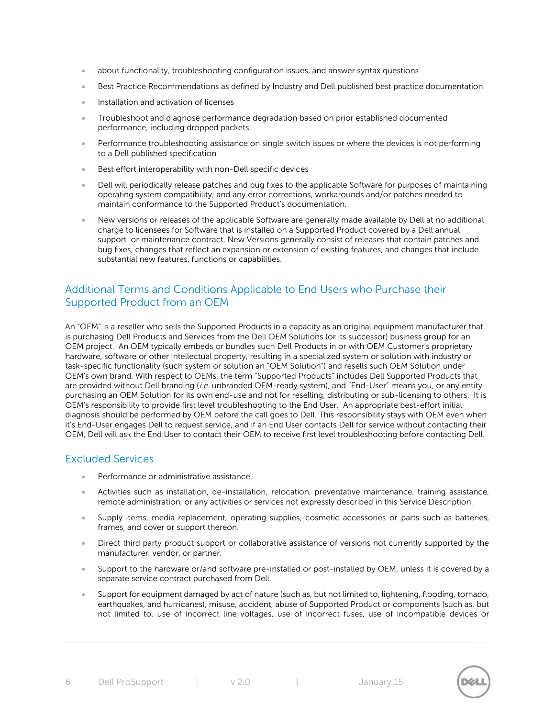- about functionality, troubleshooting configuration issues, and answer syntax questions
- Best Practice Recommendations as defined by Industry and Dell published best practice documentation
- Installation and activation of licenses
- Troubleshoot and diagnose performance degradation based on prior established documented performance, including dropped packets.
- Performance troubleshooting assistance on single switch issues or where the devices is not performing to a Dell published specification
- Best effort interoperability with non-Dell specific devices
- Dell will periodically release patches and bug fixes to the applicable Software for purposes of maintaining operating system compatibility; and any error corrections, workarounds and/or patches needed to maintain conformance to the Supported Product's documentation.
- New versions or releases of the applicable Software are generally made available by Dell at no additional charge to licensees for Software that is installed on a Supported Product covered by a Dell annual support or maintenance contract. New Versions generally consist of releases that contain patches and bug fixes, changes that reflect an expansion or extension of existing features, and changes that include substantial new features, functions or capabilities.

# Additional Terms and Conditions Applicable to End Users who Purchase their Supported Product from an OEM

An "OEM" is a reseller who sells the Supported Products in a capacity as an original equipment manufacturer that is purchasing Dell Products and Services from the Dell OEM Solutions (or its successor) business group for an OEM project. An OEM typically embeds or bundles such Dell Products in or with OEM Customer's proprietary hardware, software or other intellectual property, resulting in a specialized system or solution with industry or task-specific functionality (such system or solution an "OEM Solution") and resells such OEM Solution under OEM's own brand. With respect to OEMs, the term "Supported Products" includes Dell Supported Products that are provided without Dell branding (i.e. unbranded OEM-ready system), and "End-User" means you, or any entity purchasing an OEM Solution for its own end-use and not for reselling, distributing or sub-licensing to others. It is OEM's responsibility to provide first level troubleshooting to the End User. An appropriate best-effort initial diagnosis should be performed by OEM before the call goes to Dell. This responsibility stays with OEM even when it's End-User engages Dell to request service, and if an End User contacts Dell for service without contacting their OEM, Dell will ask the End User to contact their OEM to receive first level troubleshooting before contacting Dell.

## Excluded Services

- Performance or administrative assistance.
- Activities such as installation, de-installation, relocation, preventative maintenance, training assistance, remote administration, or any activities or services not expressly described in this Service Description.
- Supply items, media replacement, operating supplies, cosmetic accessories or parts such as batteries, frames, and cover or support thereon.
- Direct third party product support or collaborative assistance of versions not currently supported by the manufacturer, vendor, or partner.
- Support to the hardware or/and software pre-installed or post-installed by OEM, unless it is covered by a separate service contract purchased from Dell.
- Support for equipment damaged by act of nature (such as, but not limited to, lightening, flooding, tornado, earthquakes, and hurricanes), misuse, accident, abuse of Supported Product or components (such as, but not limited to, use of incorrect line voltages, use of incorrect fuses, use of incompatible devices or

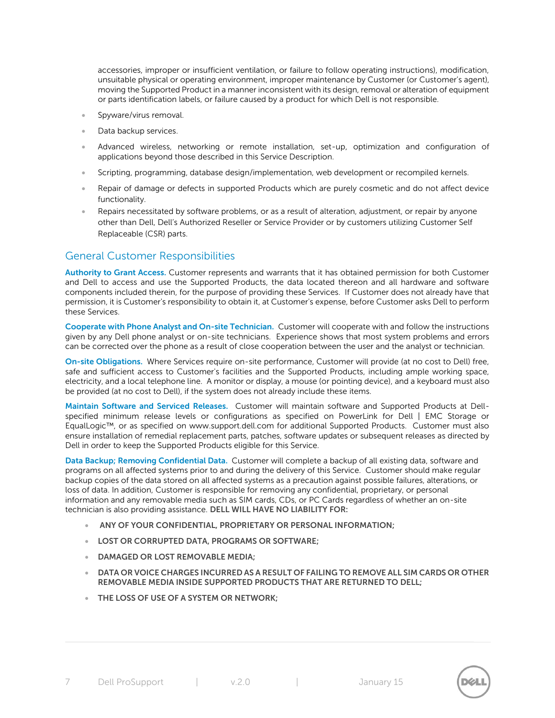accessories, improper or insufficient ventilation, or failure to follow operating instructions), modification, unsuitable physical or operating environment, improper maintenance by Customer (or Customer's agent), moving the Supported Product in a manner inconsistent with its design, removal or alteration of equipment or parts identification labels, or failure caused by a product for which Dell is not responsible.

- Spyware/virus removal.
- Data backup services.
- Advanced wireless, networking or remote installation, set-up, optimization and configuration of applications beyond those described in this Service Description.
- Scripting, programming, database design/implementation, web development or recompiled kernels.
- Repair of damage or defects in supported Products which are purely cosmetic and do not affect device functionality.
- Repairs necessitated by software problems, or as a result of alteration, adjustment, or repair by anyone other than Dell, Dell's Authorized Reseller or Service Provider or by customers utilizing Customer Self Replaceable (CSR) parts.

# General Customer Responsibilities

**Authority to Grant Access.** Customer represents and warrants that it has obtained permission for both Customer and Dell to access and use the Supported Products, the data located thereon and all hardware and software components included therein, for the purpose of providing these Services. If Customer does not already have that permission, it is Customer's responsibility to obtain it, at Customer's expense, before Customer asks Dell to perform these Services.

**Cooperate with Phone Analyst and On-site Technician.** Customer will cooperate with and follow the instructions given by any Dell phone analyst or on-site technicians. Experience shows that most system problems and errors can be corrected over the phone as a result of close cooperation between the user and the analyst or technician.

**On-site Obligations.** Where Services require on-site performance, Customer will provide (at no cost to Dell) free, safe and sufficient access to Customer's facilities and the Supported Products, including ample working space, electricity, and a local telephone line. A monitor or display, a mouse (or pointing device), and a keyboard must also be provided (at no cost to Dell), if the system does not already include these items.

**Maintain Software and Serviced Releases.** Customer will maintain software and Supported Products at Dellspecified minimum release levels or configurations as specified on PowerLink for Dell | EMC Storage or EqualLogic™, or as specified on www.support.dell.com for additional Supported Products. Customer must also ensure installation of remedial replacement parts, patches, software updates or subsequent releases as directed by Dell in order to keep the Supported Products eligible for this Service.

**Data Backup; Removing Confidential Data.** Customer will complete a backup of all existing data, software and programs on all affected systems prior to and during the delivery of this Service. Customer should make regular backup copies of the data stored on all affected systems as a precaution against possible failures, alterations, or loss of data. In addition, Customer is responsible for removing any confidential, proprietary, or personal information and any removable media such as SIM cards, CDs, or PC Cards regardless of whether an on-site technician is also providing assistance. **DELL WILL HAVE NO LIABILITY FOR:**

- **ANY OF YOUR CONFIDENTIAL, PROPRIETARY OR PERSONAL INFORMATION;**
- **LOST OR CORRUPTED DATA, PROGRAMS OR SOFTWARE;**
- **DAMAGED OR LOST REMOVABLE MEDIA;**
- **DATA OR VOICE CHARGES INCURRED AS A RESULT OF FAILING TO REMOVE ALL SIM CARDS OR OTHER REMOVABLE MEDIA INSIDE SUPPORTED PRODUCTS THAT ARE RETURNED TO DELL;**
- **THE LOSS OF USE OF A SYSTEM OR NETWORK;**

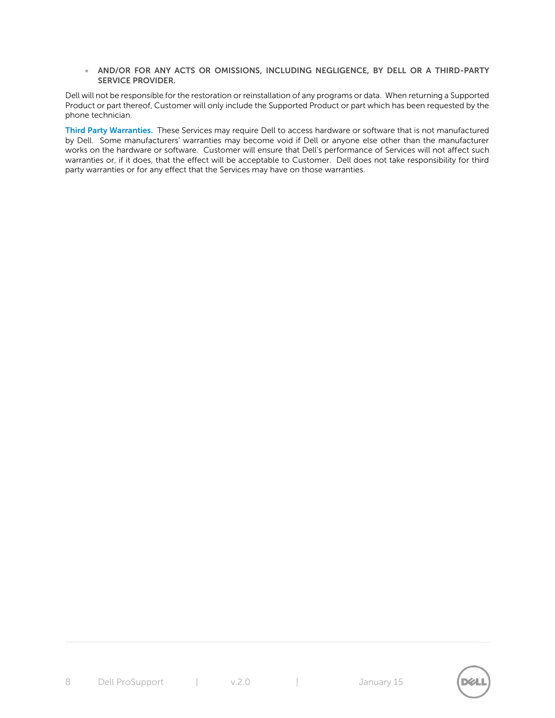**AND/OR FOR ANY ACTS OR OMISSIONS, INCLUDING NEGLIGENCE, BY DELL OR A THIRD-PARTY SERVICE PROVIDER.**

Dell will not be responsible for the restoration or reinstallation of any programs or data. When returning a Supported Product or part thereof, Customer will only include the Supported Product or part which has been requested by the phone technician.

**Third Party Warranties.** These Services may require Dell to access hardware or software that is not manufactured by Dell. Some manufacturers' warranties may become void if Dell or anyone else other than the manufacturer works on the hardware or software. Customer will ensure that Dell's performance of Services will not affect such warranties or, if it does, that the effect will be acceptable to Customer. Dell does not take responsibility for third party warranties or for any effect that the Services may have on those warranties.

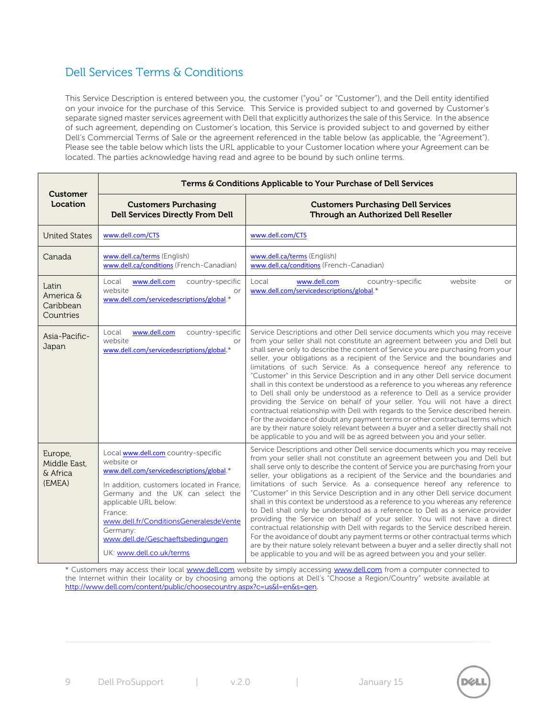# Dell Services Terms & Conditions

This Service Description is entered between you, the customer ("you" or "Customer"), and the Dell entity identified on your invoice for the purchase of this Service. This Service is provided subject to and governed by Customer's separate signed master services agreement with Dell that explicitly authorizes the sale of this Service. In the absence of such agreement, depending on Customer's location, this Service is provided subject to and governed by either Dell's Commercial Terms of Sale or the agreement referenced in the table below (as applicable, the "Agreement"). Please see the table below which lists the URL applicable to your Customer location where your Agreement can be located. The parties acknowledge having read and agree to be bound by such online terms.

|                                               | Terms & Conditions Applicable to Your Purchase of Dell Services                                                                                                                                                                                                                                                                             |                                                                                                                                                                                                                                                                                                                                                                                                                                                                                                                                                                                                                                                                                                                                                                                                                                                                                                                                                                                                                                                                                    |
|-----------------------------------------------|---------------------------------------------------------------------------------------------------------------------------------------------------------------------------------------------------------------------------------------------------------------------------------------------------------------------------------------------|------------------------------------------------------------------------------------------------------------------------------------------------------------------------------------------------------------------------------------------------------------------------------------------------------------------------------------------------------------------------------------------------------------------------------------------------------------------------------------------------------------------------------------------------------------------------------------------------------------------------------------------------------------------------------------------------------------------------------------------------------------------------------------------------------------------------------------------------------------------------------------------------------------------------------------------------------------------------------------------------------------------------------------------------------------------------------------|
| Customer<br>Location                          | <b>Customers Purchasing</b><br><b>Dell Services Directly From Dell</b>                                                                                                                                                                                                                                                                      | <b>Customers Purchasing Dell Services</b><br>Through an Authorized Dell Reseller                                                                                                                                                                                                                                                                                                                                                                                                                                                                                                                                                                                                                                                                                                                                                                                                                                                                                                                                                                                                   |
| <b>United States</b>                          | www.dell.com/CTS                                                                                                                                                                                                                                                                                                                            | www.dell.com/CTS                                                                                                                                                                                                                                                                                                                                                                                                                                                                                                                                                                                                                                                                                                                                                                                                                                                                                                                                                                                                                                                                   |
| Canada                                        | www.dell.ca/terms (English)<br>www.dell.ca/conditions (French-Canadian)                                                                                                                                                                                                                                                                     | www.dell.ca/terms (English)<br>www.dell.ca/conditions (French-Canadian)                                                                                                                                                                                                                                                                                                                                                                                                                                                                                                                                                                                                                                                                                                                                                                                                                                                                                                                                                                                                            |
| Latin<br>America &<br>Caribbean<br>Countries  | Local<br>www.dell.com<br>country-specific<br>website<br>or<br>www.dell.com/servicedescriptions/global.*                                                                                                                                                                                                                                     | www.dell.com<br>Local<br>country-specific<br>website<br><b>or</b><br>www.dell.com/servicedescriptions/global.*                                                                                                                                                                                                                                                                                                                                                                                                                                                                                                                                                                                                                                                                                                                                                                                                                                                                                                                                                                     |
| Asia-Pacific-<br>Japan                        | www.dell.com<br>Local<br>country-specific<br>website<br>or<br>www.dell.com/servicedescriptions/global.*                                                                                                                                                                                                                                     | Service Descriptions and other Dell service documents which you may receive<br>from your seller shall not constitute an agreement between you and Dell but<br>shall serve only to describe the content of Service you are purchasing from your<br>seller, your obligations as a recipient of the Service and the boundaries and<br>limitations of such Service. As a consequence hereof any reference to<br>"Customer" in this Service Description and in any other Dell service document<br>shall in this context be understood as a reference to you whereas any reference<br>to Dell shall only be understood as a reference to Dell as a service provider<br>providing the Service on behalf of your seller. You will not have a direct<br>contractual relationship with Dell with regards to the Service described herein.<br>For the avoidance of doubt any payment terms or other contractual terms which<br>are by their nature solely relevant between a buyer and a seller directly shall not<br>be applicable to you and will be as agreed between you and your seller. |
| Europe,<br>Middle East.<br>& Africa<br>(EMEA) | Local www.dell.com country-specific<br>website or<br>www.dell.com/servicedescriptions/global.*<br>In addition, customers located in France,<br>Germany and the UK can select the<br>applicable URL below:<br>France:<br>www.dell.fr/ConditionsGeneralesdeVente<br>Germany:<br>www.dell.de/Geschaeftsbedingungen<br>UK: www.dell.co.uk/terms | Service Descriptions and other Dell service documents which you may receive<br>from your seller shall not constitute an agreement between you and Dell but<br>shall serve only to describe the content of Service you are purchasing from your<br>seller, your obligations as a recipient of the Service and the boundaries and<br>limitations of such Service. As a consequence hereof any reference to<br>"Customer" in this Service Description and in any other Dell service document<br>shall in this context be understood as a reference to you whereas any reference<br>to Dell shall only be understood as a reference to Dell as a service provider<br>providing the Service on behalf of your seller. You will not have a direct<br>contractual relationship with Dell with regards to the Service described herein.<br>For the avoidance of doubt any payment terms or other contractual terms which<br>are by their nature solely relevant between a buyer and a seller directly shall not<br>be applicable to you and will be as agreed between you and your seller. |

\* Customers may access their local [www.dell.com](http://www.dell.com/) website by simply accessing [www.dell.com](http://www.dell.com/) from a computer connected to the Internet within their locality or by choosing among the options at Dell's "Choose a Region/Country" website available at [http://www.dell.com/content/public/choosecountry.aspx?c=us&l=en&s=gen.](http://www.dell.com/content/public/choosecountry.aspx?c=us&l=en&s=gen)

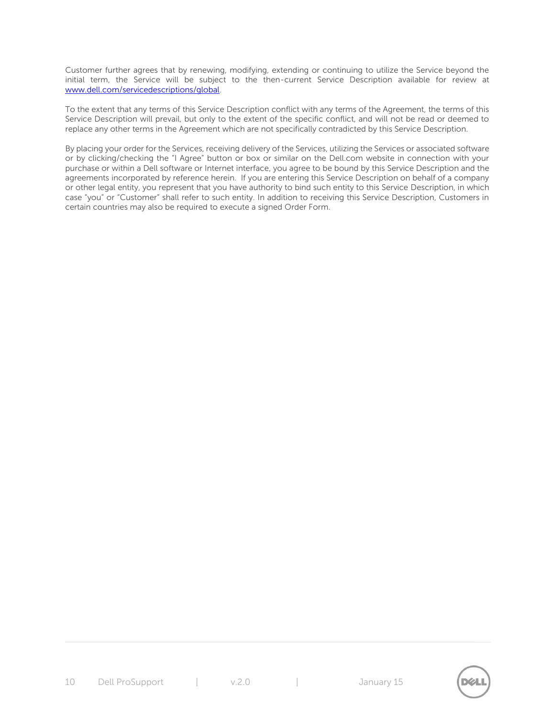Customer further agrees that by renewing, modifying, extending or continuing to utilize the Service beyond the initial term, the Service will be subject to the then-current Service Description available for review at [www.dell.com/servicedescriptions/global.](http://www.dell.com/servicedescriptions/global)

To the extent that any terms of this Service Description conflict with any terms of the Agreement, the terms of this Service Description will prevail, but only to the extent of the specific conflict, and will not be read or deemed to replace any other terms in the Agreement which are not specifically contradicted by this Service Description.

By placing your order for the Services, receiving delivery of the Services, utilizing the Services or associated software or by clicking/checking the "I Agree" button or box or similar on the Dell.com website in connection with your purchase or within a Dell software or Internet interface, you agree to be bound by this Service Description and the agreements incorporated by reference herein. If you are entering this Service Description on behalf of a company or other legal entity, you represent that you have authority to bind such entity to this Service Description, in which case "you" or "Customer" shall refer to such entity. In addition to receiving this Service Description, Customers in certain countries may also be required to execute a signed Order Form.

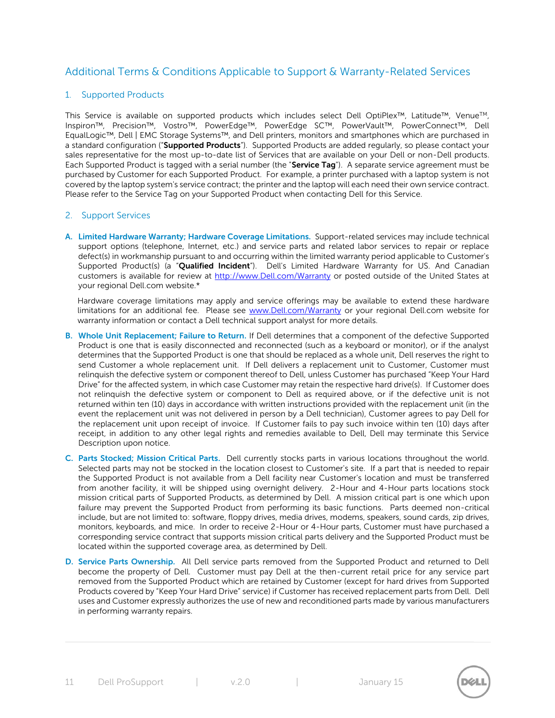# Additional Terms & Conditions Applicable to Support & Warranty-Related Services

## 1. Supported Products

This Service is available on supported products which includes select Dell OptiPlex™, Latitude™, Venue™, Inspiron™, Precision™, Vostro™, PowerEdge™, PowerEdge SC™, PowerVault™, PowerConnect™, Dell EqualLogic™, Dell | EMC Storage Systems™, and Dell printers, monitors and smartphones which are purchased in a standard configuration ("**Supported Products**"). Supported Products are added regularly, so please contact your sales representative for the most up-to-date list of Services that are available on your Dell or non-Dell products. Each Supported Product is tagged with a serial number (the "**Service Tag**"). A separate service agreement must be purchased by Customer for each Supported Product. For example, a printer purchased with a laptop system is not covered by the laptop system's service contract; the printer and the laptop will each need their own service contract. Please refer to the Service Tag on your Supported Product when contacting Dell for this Service.

#### 2. Support Services

**A. Limited Hardware Warranty; Hardware Coverage Limitations.** Support-related services may include technical support options (telephone, Internet, etc.) and service parts and related labor services to repair or replace defect(s) in workmanship pursuant to and occurring within the limited warranty period applicable to Customer's Supported Product(s) (a "**Qualified Incident**"). Dell's Limited Hardware Warranty for US. And Canadian customers is available for review at [http://www.Dell.com/Warranty](http://www.dell.com/Warranty) or posted outside of the United States at your regional Dell.com website.\*

Hardware coverage limitations may apply and service offerings may be available to extend these hardware limitations for an additional fee. Please see [www.Dell.com/Warranty](file:///C:/Users/Mark_Bell/Desktop/www.Dell.com/Warranty) or your regional Dell.com website for warranty information or contact a Dell technical support analyst for more details.

- **B. Whole Unit Replacement; Failure to Return.** If Dell determines that a component of the defective Supported Product is one that is easily disconnected and reconnected (such as a keyboard or monitor), or if the analyst determines that the Supported Product is one that should be replaced as a whole unit, Dell reserves the right to send Customer a whole replacement unit. If Dell delivers a replacement unit to Customer, Customer must relinquish the defective system or component thereof to Dell, unless Customer has purchased "Keep Your Hard Drive" for the affected system, in which case Customer may retain the respective hard drive(s). If Customer does not relinquish the defective system or component to Dell as required above, or if the defective unit is not returned within ten (10) days in accordance with written instructions provided with the replacement unit (in the event the replacement unit was not delivered in person by a Dell technician), Customer agrees to pay Dell for the replacement unit upon receipt of invoice. If Customer fails to pay such invoice within ten (10) days after receipt, in addition to any other legal rights and remedies available to Dell, Dell may terminate this Service Description upon notice.
- **C. Parts Stocked; Mission Critical Parts.** Dell currently stocks parts in various locations throughout the world. Selected parts may not be stocked in the location closest to Customer's site. If a part that is needed to repair the Supported Product is not available from a Dell facility near Customer's location and must be transferred from another facility, it will be shipped using overnight delivery. 2-Hour and 4-Hour parts locations stock mission critical parts of Supported Products, as determined by Dell. A mission critical part is one which upon failure may prevent the Supported Product from performing its basic functions. Parts deemed non-critical include, but are not limited to: software, floppy drives, media drives, modems, speakers, sound cards, zip drives, monitors, keyboards, and mice. In order to receive 2-Hour or 4-Hour parts, Customer must have purchased a corresponding service contract that supports mission critical parts delivery and the Supported Product must be located within the supported coverage area, as determined by Dell.
- **D. Service Parts Ownership.** All Dell service parts removed from the Supported Product and returned to Dell become the property of Dell. Customer must pay Dell at the then-current retail price for any service part removed from the Supported Product which are retained by Customer (except for hard drives from Supported Products covered by "Keep Your Hard Drive" service) if Customer has received replacement parts from Dell. Dell uses and Customer expressly authorizes the use of new and reconditioned parts made by various manufacturers in performing warranty repairs.

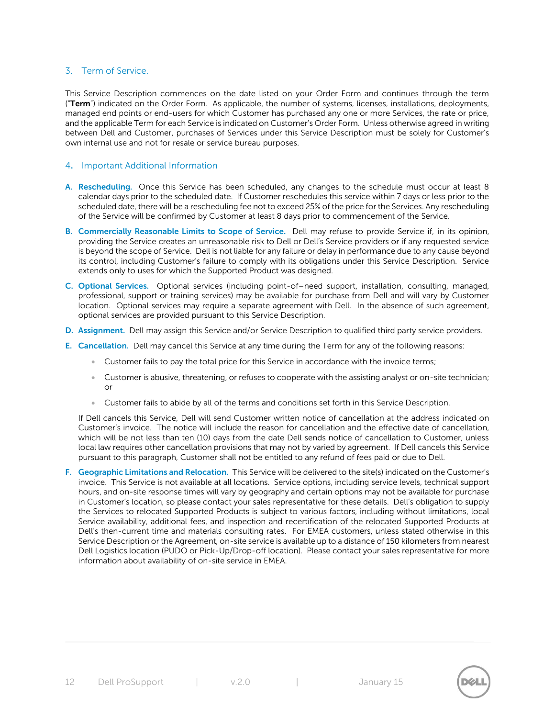## 3. Term of Service.

This Service Description commences on the date listed on your Order Form and continues through the term ("**Term**") indicated on the Order Form. As applicable, the number of systems, licenses, installations, deployments, managed end points or end-users for which Customer has purchased any one or more Services, the rate or price, and the applicable Term for each Service is indicated on Customer's Order Form. Unless otherwise agreed in writing between Dell and Customer, purchases of Services under this Service Description must be solely for Customer's own internal use and not for resale or service bureau purposes.

#### 4**.** Important Additional Information

- **A. Rescheduling.** Once this Service has been scheduled, any changes to the schedule must occur at least 8 calendar days prior to the scheduled date. If Customer reschedules this service within 7 days or less prior to the scheduled date, there will be a rescheduling fee not to exceed 25% of the price for the Services. Any rescheduling of the Service will be confirmed by Customer at least 8 days prior to commencement of the Service.
- **B. Commercially Reasonable Limits to Scope of Service.** Dell may refuse to provide Service if, in its opinion, providing the Service creates an unreasonable risk to Dell or Dell's Service providers or if any requested service is beyond the scope of Service. Dell is not liable for any failure or delay in performance due to any cause beyond its control, including Customer's failure to comply with its obligations under this Service Description. Service extends only to uses for which the Supported Product was designed.
- **C. Optional Services.** Optional services (including point-of–need support, installation, consulting, managed, professional, support or training services) may be available for purchase from Dell and will vary by Customer location. Optional services may require a separate agreement with Dell. In the absence of such agreement, optional services are provided pursuant to this Service Description.
- **D. Assignment.** Dell may assign this Service and/or Service Description to qualified third party service providers.
- **E. Cancellation.** Dell may cancel this Service at any time during the Term for any of the following reasons:
	- Customer fails to pay the total price for this Service in accordance with the invoice terms;
	- Customer is abusive, threatening, or refuses to cooperate with the assisting analyst or on-site technician; or
	- Customer fails to abide by all of the terms and conditions set forth in this Service Description.

If Dell cancels this Service, Dell will send Customer written notice of cancellation at the address indicated on Customer's invoice. The notice will include the reason for cancellation and the effective date of cancellation, which will be not less than ten (10) days from the date Dell sends notice of cancellation to Customer, unless local law requires other cancellation provisions that may not by varied by agreement. If Dell cancels this Service pursuant to this paragraph, Customer shall not be entitled to any refund of fees paid or due to Dell.

**F. Geographic Limitations and Relocation.** This Service will be delivered to the site(s) indicated on the Customer's invoice. This Service is not available at all locations. Service options, including service levels, technical support hours, and on-site response times will vary by geography and certain options may not be available for purchase in Customer's location, so please contact your sales representative for these details. Dell's obligation to supply the Services to relocated Supported Products is subject to various factors, including without limitations, local Service availability, additional fees, and inspection and recertification of the relocated Supported Products at Dell's then-current time and materials consulting rates. For EMEA customers, unless stated otherwise in this Service Description or the Agreement, on-site service is available up to a distance of 150 kilometers from nearest Dell Logistics location (PUDO or Pick-Up/Drop-off location). Please contact your sales representative for more information about availability of on-site service in EMEA.

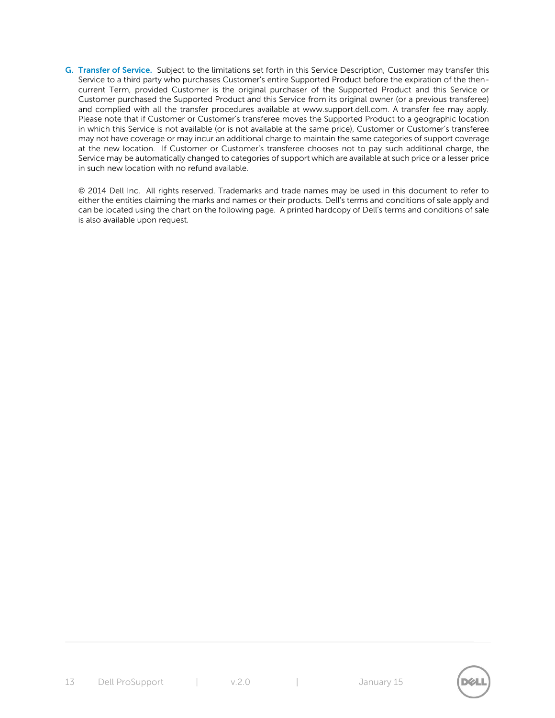**G. Transfer of Service.** Subject to the limitations set forth in this Service Description, Customer may transfer this Service to a third party who purchases Customer's entire Supported Product before the expiration of the thencurrent Term, provided Customer is the original purchaser of the Supported Product and this Service or Customer purchased the Supported Product and this Service from its original owner (or a previous transferee) and complied with all the transfer procedures available at www.support.dell.com. A transfer fee may apply. Please note that if Customer or Customer's transferee moves the Supported Product to a geographic location in which this Service is not available (or is not available at the same price), Customer or Customer's transferee may not have coverage or may incur an additional charge to maintain the same categories of support coverage at the new location. If Customer or Customer's transferee chooses not to pay such additional charge, the Service may be automatically changed to categories of support which are available at such price or a lesser price in such new location with no refund available.

© 2014 Dell Inc. All rights reserved. Trademarks and trade names may be used in this document to refer to either the entities claiming the marks and names or their products. Dell's terms and conditions of sale apply and can be located using the chart on the following page. A printed hardcopy of Dell's terms and conditions of sale is also available upon request.

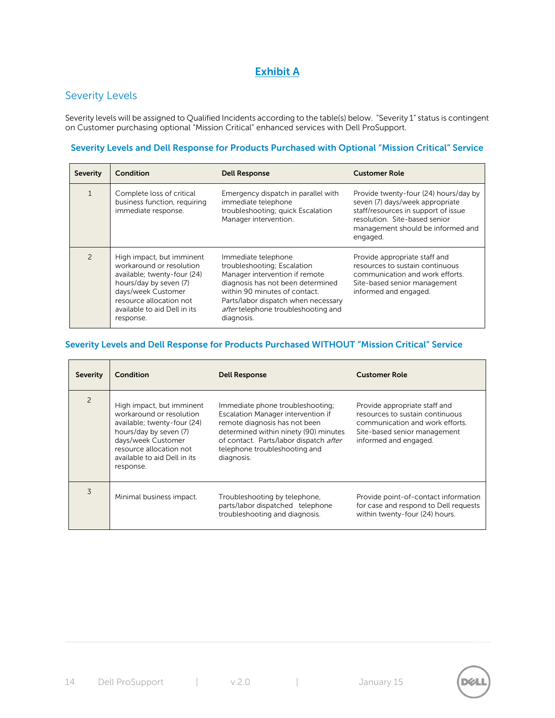# **Exhibit A**

# Severity Levels

Severity levels will be assigned to Qualified Incidents according to the table(s) below. "Severity 1" status is contingent on Customer purchasing optional "Mission Critical" enhanced services with Dell ProSupport.

## **Severity Levels and Dell Response for Products Purchased with Optional "Mission Critical" Service**

| <b>Severity</b> | Condition                                                                                                                                                                                                    | <b>Dell Response</b>                                                                                                                                                                                                                                   | <b>Customer Role</b>                                                                                                                                                                              |
|-----------------|--------------------------------------------------------------------------------------------------------------------------------------------------------------------------------------------------------------|--------------------------------------------------------------------------------------------------------------------------------------------------------------------------------------------------------------------------------------------------------|---------------------------------------------------------------------------------------------------------------------------------------------------------------------------------------------------|
|                 | Complete loss of critical<br>business function, requiring<br>immediate response.                                                                                                                             | Emergency dispatch in parallel with<br>immediate telephone<br>troubleshooting; quick Escalation<br>Manager intervention.                                                                                                                               | Provide twenty-four (24) hours/day by<br>seven (7) days/week appropriate<br>staff/resources in support of issue<br>resolution. Site-based senior<br>management should be informed and<br>engaged. |
|                 | High impact, but imminent<br>workaround or resolution<br>available; twenty-four (24)<br>hours/day by seven (7)<br>days/week Customer<br>resource allocation not<br>available to aid Dell in its<br>response. | Immediate telephone<br>troubleshooting; Escalation<br>Manager intervention if remote<br>diagnosis has not been determined<br>within 90 minutes of contact.<br>Parts/labor dispatch when necessary<br>after telephone troubleshooting and<br>diagnosis. | Provide appropriate staff and<br>resources to sustain continuous<br>communication and work efforts.<br>Site-based senior management<br>informed and engaged.                                      |

## **Severity Levels and Dell Response for Products Purchased WITHOUT "Mission Critical" Service**

| <b>Severity</b> | Condition                                                                                                                                                                                                    | <b>Dell Response</b>                                                                                                                                                                                                                      | <b>Customer Role</b>                                                                                                                                         |
|-----------------|--------------------------------------------------------------------------------------------------------------------------------------------------------------------------------------------------------------|-------------------------------------------------------------------------------------------------------------------------------------------------------------------------------------------------------------------------------------------|--------------------------------------------------------------------------------------------------------------------------------------------------------------|
| 2               | High impact, but imminent<br>workaround or resolution<br>available; twenty-four (24)<br>hours/day by seven (7)<br>days/week Customer<br>resource allocation not<br>available to aid Dell in its<br>response. | Immediate phone troubleshooting;<br>Escalation Manager intervention if<br>remote diagnosis has not been<br>determined within ninety (90) minutes<br>of contact. Parts/labor dispatch after<br>telephone troubleshooting and<br>diagnosis. | Provide appropriate staff and<br>resources to sustain continuous<br>communication and work efforts.<br>Site-based senior management<br>informed and engaged. |
| 3               | Minimal business impact.                                                                                                                                                                                     | Troubleshooting by telephone,<br>parts/labor dispatched telephone<br>troubleshooting and diagnosis.                                                                                                                                       | Provide point-of-contact information<br>for case and respond to Dell requests<br>within twenty-four (24) hours.                                              |

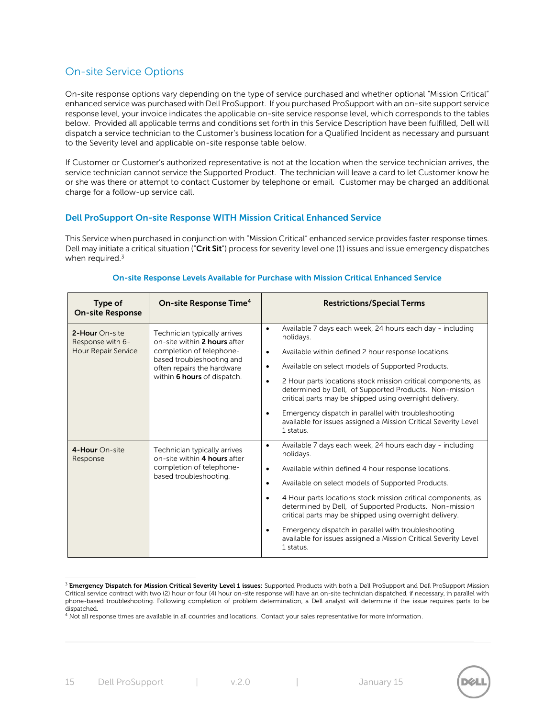# On-site Service Options

On-site response options vary depending on the type of service purchased and whether optional "Mission Critical" enhanced service was purchased with Dell ProSupport. If you purchased ProSupport with an on-site support service response level, your invoice indicates the applicable on-site service response level, which corresponds to the tables below. Provided all applicable terms and conditions set forth in this Service Description have been fulfilled, Dell will dispatch a service technician to the Customer's business location for a Qualified Incident as necessary and pursuant to the Severity level and applicable on-site response table below.

If Customer or Customer's authorized representative is not at the location when the service technician arrives, the service technician cannot service the Supported Product. The technician will leave a card to let Customer know he or she was there or attempt to contact Customer by telephone or email. Customer may be charged an additional charge for a follow-up service call.

#### **Dell ProSupport On-site Response WITH Mission Critical Enhanced Service**

This Service when purchased in conjunction with "Mission Critical" enhanced service provides faster response times. Dell may initiate a critical situation ("**Crit Sit**") process for severity level one (1) issues and issue emergency dispatches when required.<sup>3</sup>

| Type of<br><b>On-site Response</b>                        | On-site Response Time <sup>4</sup>                                                                                                                                                 | <b>Restrictions/Special Terms</b>                                                                                                                                                                                                                                                                                                                                                                                                                                                                                                                                               |
|-----------------------------------------------------------|------------------------------------------------------------------------------------------------------------------------------------------------------------------------------------|---------------------------------------------------------------------------------------------------------------------------------------------------------------------------------------------------------------------------------------------------------------------------------------------------------------------------------------------------------------------------------------------------------------------------------------------------------------------------------------------------------------------------------------------------------------------------------|
| 2-Hour On-site<br>Response with 6-<br>Hour Repair Service | Technician typically arrives<br>on-site within 2 hours after<br>completion of telephone-<br>based troubleshooting and<br>often repairs the hardware<br>within 6 hours of dispatch. | Available 7 days each week, 24 hours each day - including<br>$\bullet$<br>holidays.<br>Available within defined 2 hour response locations.<br>$\bullet$<br>Available on select models of Supported Products.<br>$\bullet$<br>2 Hour parts locations stock mission critical components, as<br>$\bullet$<br>determined by Dell, of Supported Products. Non-mission<br>critical parts may be shipped using overnight delivery.<br>Emergency dispatch in parallel with troubleshooting<br>$\bullet$<br>available for issues assigned a Mission Critical Severity Level<br>1 status. |
| 4-Hour On-site<br>Response                                | Technician typically arrives<br>on-site within 4 hours after<br>completion of telephone-<br>based troubleshooting.                                                                 | Available 7 days each week, 24 hours each day - including<br>$\bullet$<br>holidays.<br>Available within defined 4 hour response locations.<br>$\bullet$<br>Available on select models of Supported Products.<br>٠<br>4 Hour parts locations stock mission critical components, as<br>determined by Dell, of Supported Products. Non-mission<br>critical parts may be shipped using overnight delivery.<br>Emergency dispatch in parallel with troubleshooting<br>available for issues assigned a Mission Critical Severity Level<br>1 status.                                   |

#### **On-site Response Levels Available for Purchase with Mission Critical Enhanced Service**



<sup>3</sup> **Emergency Dispatch for Mission Critical Severity Level 1 issues:** Supported Products with both a Dell ProSupport and Dell ProSupport Mission Critical service contract with two (2) hour or four (4) hour on-site response will have an on-site technician dispatched, if necessary, in parallel with phone-based troubleshooting. Following completion of problem determination, a Dell analyst will determine if the issue requires parts to be dispatched. <sup>4</sup> Not all response times are available in all countries and locations. Contact your sales representative for more information.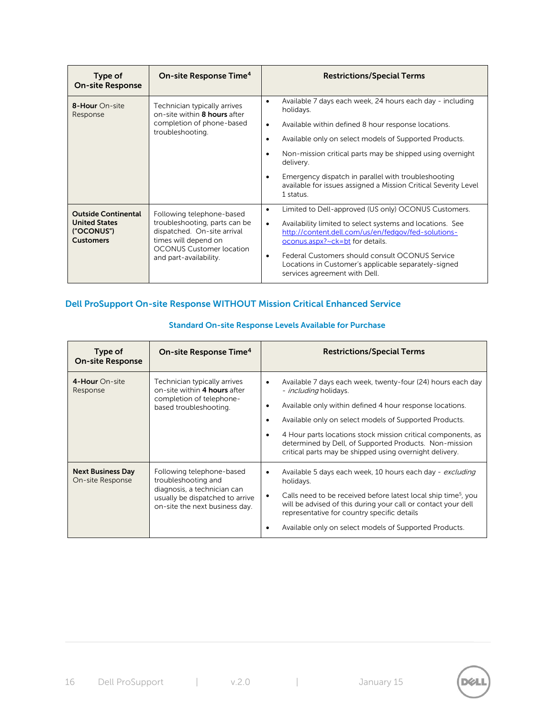| Type of<br><b>On-site Response</b>                                                   | On-site Response Time <sup>4</sup>                                                                                                                                             | <b>Restrictions/Special Terms</b>                                                                                                                                                                                                                                                                                                                                                                                                       |
|--------------------------------------------------------------------------------------|--------------------------------------------------------------------------------------------------------------------------------------------------------------------------------|-----------------------------------------------------------------------------------------------------------------------------------------------------------------------------------------------------------------------------------------------------------------------------------------------------------------------------------------------------------------------------------------------------------------------------------------|
| 8-Hour On-site<br>Response                                                           | Technician typically arrives<br>on-site within 8 hours after<br>completion of phone-based<br>troubleshooting.                                                                  | Available 7 days each week, 24 hours each day - including<br>$\bullet$<br>holidays.<br>Available within defined 8 hour response locations.<br>$\bullet$<br>Available only on select models of Supported Products.<br>Non-mission critical parts may be shipped using overnight<br>delivery.<br>Emergency dispatch in parallel with troubleshooting<br>٠<br>available for issues assigned a Mission Critical Severity Level<br>1 status. |
| <b>Outside Continental</b><br><b>United States</b><br>("OCONUS")<br><b>Customers</b> | Following telephone-based<br>troubleshooting, parts can be<br>dispatched. On-site arrival<br>times will depend on<br><b>OCONUS Customer location</b><br>and part-availability. | Limited to Dell-approved (US only) OCONUS Customers.<br>٠<br>Availability limited to select systems and locations. See<br>$\bullet$<br>http://content.dell.com/us/en/fedgov/fed-solutions-<br>oconus.aspx?~ck=bt for details.<br>Federal Customers should consult OCONUS Service<br>Locations in Customer's applicable separately-signed<br>services agreement with Dell.                                                               |

# **Dell ProSupport On-site Response WITHOUT Mission Critical Enhanced Service**

| Type of<br><b>On-site Response</b>           | On-site Response Time <sup>4</sup>                                                                                                                   | <b>Restrictions/Special Terms</b>                                                                                                                                                                                                                                                                                                                                                                      |
|----------------------------------------------|------------------------------------------------------------------------------------------------------------------------------------------------------|--------------------------------------------------------------------------------------------------------------------------------------------------------------------------------------------------------------------------------------------------------------------------------------------------------------------------------------------------------------------------------------------------------|
| 4-Hour On-site<br>Response                   | Technician typically arrives<br>on-site within 4 hours after<br>completion of telephone-<br>based troubleshooting.                                   | Available 7 days each week, twenty-four (24) hours each day<br>- <i>including</i> holidays.<br>Available only within defined 4 hour response locations.<br>Available only on select models of Supported Products.<br>4 Hour parts locations stock mission critical components, as<br>determined by Dell, of Supported Products. Non-mission<br>critical parts may be shipped using overnight delivery. |
| <b>Next Business Day</b><br>On-site Response | Following telephone-based<br>troubleshooting and<br>diagnosis, a technician can<br>usually be dispatched to arrive<br>on-site the next business day. | Available 5 days each week, 10 hours each day - excluding<br>holidays.<br>Calls need to be received before latest local ship time <sup>5</sup> , you<br>will be advised of this during your call or contact your dell<br>representative for country specific details<br>Available only on select models of Supported Products.                                                                         |

## **Standard On-site Response Levels Available for Purchase**

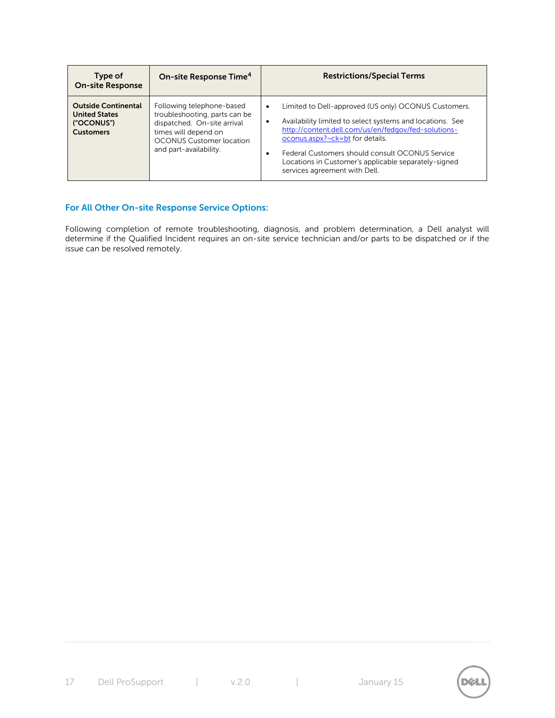| Type of<br><b>On-site Response</b>                                                   | On-site Response Time <sup>4</sup>                                                                                                                                             | <b>Restrictions/Special Terms</b>                                                                                                                                                                                                                                                                                                                                         |
|--------------------------------------------------------------------------------------|--------------------------------------------------------------------------------------------------------------------------------------------------------------------------------|---------------------------------------------------------------------------------------------------------------------------------------------------------------------------------------------------------------------------------------------------------------------------------------------------------------------------------------------------------------------------|
| <b>Outside Continental</b><br><b>United States</b><br>("OCONUS")<br><b>Customers</b> | Following telephone-based<br>troubleshooting, parts can be<br>dispatched. On-site arrival<br>times will depend on<br><b>OCONUS Customer location</b><br>and part-availability. | Limited to Dell-approved (US only) OCONUS Customers.<br>٠<br>Availability limited to select systems and locations. See<br>$\bullet$<br>http://content.dell.com/us/en/fedgov/fed-solutions-<br>oconus.aspx?~ck=bt for details.<br>Federal Customers should consult OCONUS Service<br>Locations in Customer's applicable separately-signed<br>services agreement with Dell. |

## **For All Other On-site Response Service Options:**

Following completion of remote troubleshooting, diagnosis, and problem determination, a Dell analyst will determine if the Qualified Incident requires an on-site service technician and/or parts to be dispatched or if the issue can be resolved remotely.

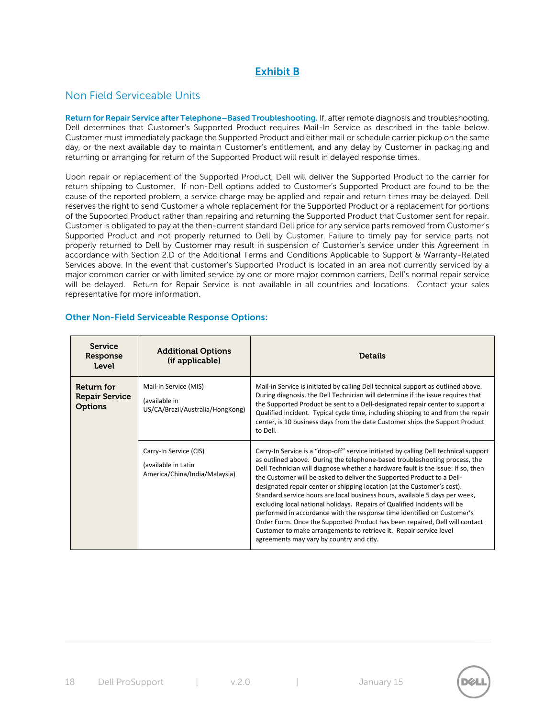# **Exhibit B**

# Non Field Serviceable Units

**Return for Repair Service after Telephone–Based Troubleshooting.** If, after remote diagnosis and troubleshooting, Dell determines that Customer's Supported Product requires Mail-In Service as described in the table below. Customer must immediately package the Supported Product and either mail or schedule carrier pickup on the same day, or the next available day to maintain Customer's entitlement, and any delay by Customer in packaging and returning or arranging for return of the Supported Product will result in delayed response times.

Upon repair or replacement of the Supported Product, Dell will deliver the Supported Product to the carrier for return shipping to Customer. If non-Dell options added to Customer's Supported Product are found to be the cause of the reported problem, a service charge may be applied and repair and return times may be delayed. Dell reserves the right to send Customer a whole replacement for the Supported Product or a replacement for portions of the Supported Product rather than repairing and returning the Supported Product that Customer sent for repair. Customer is obligated to pay at the then-current standard Dell price for any service parts removed from Customer's Supported Product and not properly returned to Dell by Customer. Failure to timely pay for service parts not properly returned to Dell by Customer may result in suspension of Customer's service under this Agreement in accordance with Section 2.D of the Additional Terms and Conditions Applicable to Support & Warranty-Related Services above. In the event that customer's Supported Product is located in an area not currently serviced by a major common carrier or with limited service by one or more major common carriers, Dell's normal repair service will be delayed. Return for Repair Service is not available in all countries and locations. Contact your sales representative for more information.

## **Other Non-Field Serviceable Response Options:**

| <b>Service</b><br>Response<br>Level                   | <b>Additional Options</b><br>(if applicable)                                   | <b>Details</b>                                                                                                                                                                                                                                                                                                                                                                                                                                                                                                                                                                                                                                                                                                                                                                                                                                      |
|-------------------------------------------------------|--------------------------------------------------------------------------------|-----------------------------------------------------------------------------------------------------------------------------------------------------------------------------------------------------------------------------------------------------------------------------------------------------------------------------------------------------------------------------------------------------------------------------------------------------------------------------------------------------------------------------------------------------------------------------------------------------------------------------------------------------------------------------------------------------------------------------------------------------------------------------------------------------------------------------------------------------|
| Return for<br><b>Repair Service</b><br><b>Options</b> | Mail-in Service (MIS)<br>(available in<br>US/CA/Brazil/Australia/HongKong)     | Mail-in Service is initiated by calling Dell technical support as outlined above.<br>During diagnosis, the Dell Technician will determine if the issue requires that<br>the Supported Product be sent to a Dell-designated repair center to support a<br>Qualified Incident. Typical cycle time, including shipping to and from the repair<br>center, is 10 business days from the date Customer ships the Support Product<br>to Dell.                                                                                                                                                                                                                                                                                                                                                                                                              |
|                                                       | Carry-In Service (CIS)<br>(available in Latin<br>America/China/India/Malaysia) | Carry-In Service is a "drop-off" service initiated by calling Dell technical support<br>as outlined above. During the telephone-based troubleshooting process, the<br>Dell Technician will diagnose whether a hardware fault is the issue: If so, then<br>the Customer will be asked to deliver the Supported Product to a Dell-<br>designated repair center or shipping location (at the Customer's cost).<br>Standard service hours are local business hours, available 5 days per week,<br>excluding local national holidays. Repairs of Qualified Incidents will be<br>performed in accordance with the response time identified on Customer's<br>Order Form. Once the Supported Product has been repaired, Dell will contact<br>Customer to make arrangements to retrieve it. Repair service level<br>agreements may vary by country and city. |



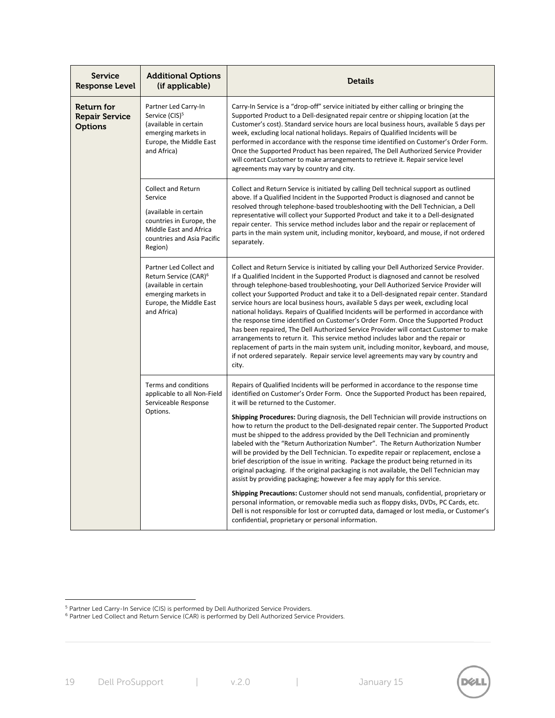| <b>Service</b><br>Response Level                      | <b>Additional Options</b><br>(if applicable)                                                                                                                 | <b>Details</b>                                                                                                                                                                                                                                                                                                                                                                                                                                                                                                                                                                                                                                                                                                                                                                                                                                                                                                                                                                                               |
|-------------------------------------------------------|--------------------------------------------------------------------------------------------------------------------------------------------------------------|--------------------------------------------------------------------------------------------------------------------------------------------------------------------------------------------------------------------------------------------------------------------------------------------------------------------------------------------------------------------------------------------------------------------------------------------------------------------------------------------------------------------------------------------------------------------------------------------------------------------------------------------------------------------------------------------------------------------------------------------------------------------------------------------------------------------------------------------------------------------------------------------------------------------------------------------------------------------------------------------------------------|
| Return for<br><b>Repair Service</b><br><b>Options</b> | Partner Led Carry-In<br>Service (CIS) <sup>5</sup><br>(available in certain<br>emerging markets in<br>Europe, the Middle East<br>and Africa)                 | Carry-In Service is a "drop-off" service initiated by either calling or bringing the<br>Supported Product to a Dell-designated repair centre or shipping location (at the<br>Customer's cost). Standard service hours are local business hours, available 5 days per<br>week, excluding local national holidays. Repairs of Qualified Incidents will be<br>performed in accordance with the response time identified on Customer's Order Form.<br>Once the Supported Product has been repaired, The Dell Authorized Service Provider<br>will contact Customer to make arrangements to retrieve it. Repair service level<br>agreements may vary by country and city.                                                                                                                                                                                                                                                                                                                                          |
|                                                       | <b>Collect and Return</b><br>Service<br>(available in certain<br>countries in Europe, the<br>Middle East and Africa<br>countries and Asia Pacific<br>Region) | Collect and Return Service is initiated by calling Dell technical support as outlined<br>above. If a Qualified Incident in the Supported Product is diagnosed and cannot be<br>resolved through telephone-based troubleshooting with the Dell Technician, a Dell<br>representative will collect your Supported Product and take it to a Dell-designated<br>repair center. This service method includes labor and the repair or replacement of<br>parts in the main system unit, including monitor, keyboard, and mouse, if not ordered<br>separately.                                                                                                                                                                                                                                                                                                                                                                                                                                                        |
|                                                       | Partner Led Collect and<br>Return Service (CAR) <sup>6</sup><br>(available in certain<br>emerging markets in<br>Europe, the Middle East<br>and Africa)       | Collect and Return Service is initiated by calling your Dell Authorized Service Provider.<br>If a Qualified Incident in the Supported Product is diagnosed and cannot be resolved<br>through telephone-based troubleshooting, your Dell Authorized Service Provider will<br>collect your Supported Product and take it to a Dell-designated repair center. Standard<br>service hours are local business hours, available 5 days per week, excluding local<br>national holidays. Repairs of Qualified Incidents will be performed in accordance with<br>the response time identified on Customer's Order Form. Once the Supported Product<br>has been repaired, The Dell Authorized Service Provider will contact Customer to make<br>arrangements to return it. This service method includes labor and the repair or<br>replacement of parts in the main system unit, including monitor, keyboard, and mouse,<br>if not ordered separately. Repair service level agreements may vary by country and<br>city. |
|                                                       | Terms and conditions<br>applicable to all Non-Field<br>Serviceable Response                                                                                  | Repairs of Qualified Incidents will be performed in accordance to the response time<br>identified on Customer's Order Form. Once the Supported Product has been repaired,<br>it will be returned to the Customer.                                                                                                                                                                                                                                                                                                                                                                                                                                                                                                                                                                                                                                                                                                                                                                                            |
|                                                       | Options.                                                                                                                                                     | <b>Shipping Procedures:</b> During diagnosis, the Dell Technician will provide instructions on<br>how to return the product to the Dell-designated repair center. The Supported Product<br>must be shipped to the address provided by the Dell Technician and prominently<br>labeled with the "Return Authorization Number". The Return Authorization Number<br>will be provided by the Dell Technician. To expedite repair or replacement, enclose a<br>brief description of the issue in writing. Package the product being returned in its<br>original packaging. If the original packaging is not available, the Dell Technician may<br>assist by providing packaging; however a fee may apply for this service.                                                                                                                                                                                                                                                                                         |
|                                                       |                                                                                                                                                              | Shipping Precautions: Customer should not send manuals, confidential, proprietary or<br>personal information, or removable media such as floppy disks, DVDs, PC Cards, etc.<br>Dell is not responsible for lost or corrupted data, damaged or lost media, or Customer's<br>confidential, proprietary or personal information.                                                                                                                                                                                                                                                                                                                                                                                                                                                                                                                                                                                                                                                                                |



<sup>&</sup>lt;sup>5</sup> Partner Led Carry-In Service (CIS) is performed by Dell Authorized Service Providers.

<sup>&</sup>lt;sup>6</sup> Partner Led Collect and Return Service (CAR) is performed by Dell Authorized Service Providers.